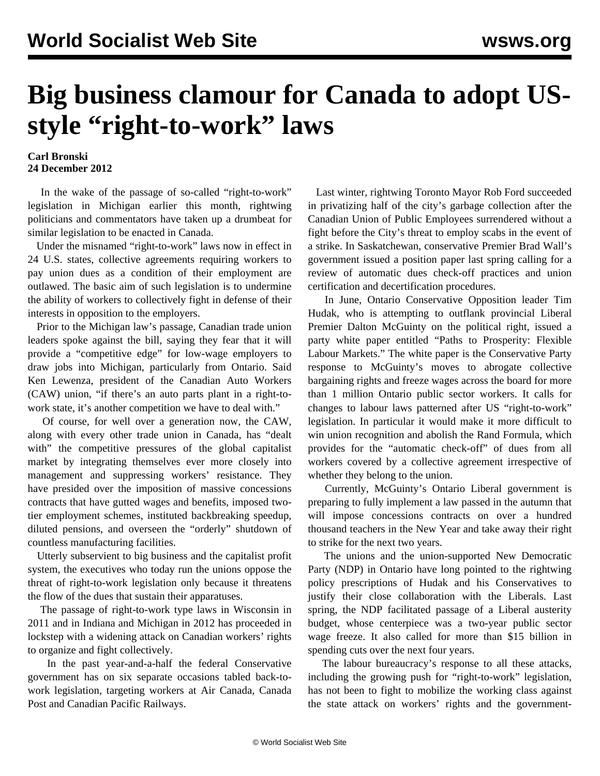## **Big business clamour for Canada to adopt USstyle "right-to-work" laws**

## **Carl Bronski 24 December 2012**

 In the wake of the passage of so-called "right-to-work" legislation in Michigan earlier this month, rightwing politicians and commentators have taken up a drumbeat for similar legislation to be enacted in Canada.

 Under the misnamed "right-to-work" laws now in effect in 24 U.S. states, collective agreements requiring workers to pay union dues as a condition of their employment are outlawed. The basic aim of such legislation is to undermine the ability of workers to collectively fight in defense of their interests in opposition to the employers.

 Prior to the Michigan law's passage, Canadian trade union leaders spoke against the bill, saying they fear that it will provide a "competitive edge" for low-wage employers to draw jobs into Michigan, particularly from Ontario. Said Ken Lewenza, president of the Canadian Auto Workers (CAW) union, "if there's an auto parts plant in a right-towork state, it's another competition we have to deal with."

 Of course, for well over a generation now, the CAW, along with every other trade union in Canada, has "dealt with" the competitive pressures of the global capitalist market by integrating themselves ever more closely into management and suppressing workers' resistance. They have presided over the imposition of massive concessions contracts that have gutted wages and benefits, imposed twotier employment schemes, instituted backbreaking speedup, diluted pensions, and overseen the "orderly" shutdown of countless manufacturing facilities.

 Utterly subservient to big business and the capitalist profit system, the executives who today run the unions oppose the threat of right-to-work legislation only because it threatens the flow of the dues that sustain their apparatuses.

 The passage of right-to-work type laws in Wisconsin in 2011 and in Indiana and Michigan in 2012 has proceeded in lockstep with a widening attack on Canadian workers' rights to organize and fight collectively.

 In the past year-and-a-half the federal Conservative government has on six separate occasions tabled back-towork legislation, targeting workers at Air Canada, Canada Post and Canadian Pacific Railways.

 Last winter, rightwing Toronto Mayor Rob Ford succeeded in privatizing half of the city's garbage collection after the Canadian Union of Public Employees surrendered without a fight before the City's threat to employ scabs in the event of a strike. In Saskatchewan, conservative Premier Brad Wall's government issued a position paper last spring calling for a review of automatic dues check-off practices and union certification and decertification procedures.

 In June, Ontario Conservative Opposition leader Tim Hudak, who is attempting to outflank provincial Liberal Premier Dalton McGuinty on the political right, issued a party white paper entitled "Paths to Prosperity: Flexible Labour Markets." The white paper is the Conservative Party response to McGuinty's moves to abrogate collective bargaining rights and freeze wages across the board for more than 1 million Ontario public sector workers. It calls for changes to labour laws patterned after US "right-to-work" legislation. In particular it would make it more difficult to win union recognition and abolish the Rand Formula, which provides for the "automatic check-off" of dues from all workers covered by a collective agreement irrespective of whether they belong to the union.

 Currently, McGuinty's Ontario Liberal government is preparing to fully implement a law passed in the autumn that will impose concessions contracts on over a hundred thousand teachers in the New Year and take away their right to strike for the next two years.

 The unions and the union-supported New Democratic Party (NDP) in Ontario have long pointed to the rightwing policy prescriptions of Hudak and his Conservatives to justify their close collaboration with the Liberals. Last spring, the NDP facilitated passage of a Liberal austerity budget, whose centerpiece was a two-year public sector wage freeze. It also called for more than \$15 billion in spending cuts over the next four years.

 The labour bureaucracy's response to all these attacks, including the growing push for "right-to-work" legislation, has not been to fight to mobilize the working class against the state attack on workers' rights and the government